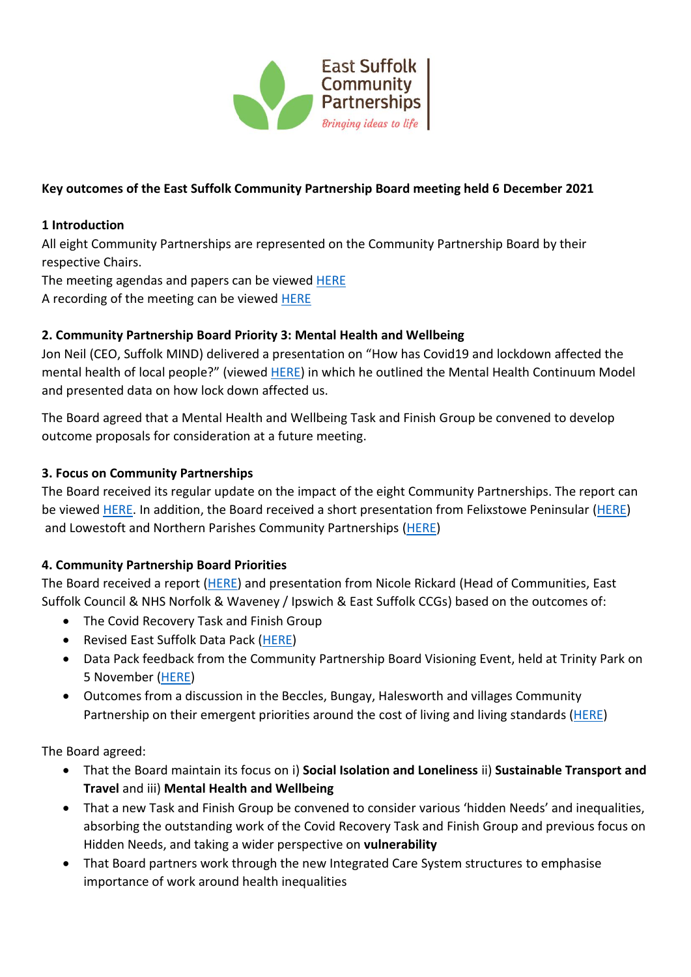

# **Key outcomes of the East Suffolk Community Partnership Board meeting held 6 December 2021**

### **1 Introduction**

All eight Community Partnerships are represented on the Community Partnership Board by their respective Chairs.

The meeting agendas and papers can be viewed [HERE](https://eastsuffolk.cmis.uk.com/eastsuffolk/Committees/tabid/62/ctl/ViewCMIS_CommitteeDetails/mid/381/id/20/Default.aspx) A recording of the meeting can be viewed [HERE](https://eastsuffolk.cmis.uk.com/eastsuffolk/Committees/tabid/62/ctl/ViewCMIS_CommitteeDetails/mid/381/id/20/Default.aspx)

## **2. Community Partnership Board Priority 3: Mental Health and Wellbeing**

Jon Neil (CEO, Suffolk MIND) delivered a presentation on "How has Covid19 and lockdown affected the mental health of local people?" (viewed [HERE\)](https://eastsuffolk.cmis.uk.com/EastSuffolk/Document.ashx?czJKcaeAi5tUFL1DTL2UE4zNRBcoShgo=jg8u8ganC8er0j%2bkOfPkOAsgJAjgeZoKzLommHWI42Pl48bC6waytQ%3d%3d&rUzwRPf%2bZ3zd4E7Ikn8Lyw%3d%3d=pwRE6AGJFLDNlh225F5QMaQWCtPHwdhUfCZ%2fLUQzgA2uL5jNRG4jdQ%3d%3d&mCTIbCubSFfXsDGW9IXnlg%3d%3d=hFflUdN3100%3d&kCx1AnS9%2fpWZQ40DXFvdEw%3d%3d=hFflUdN3100%3d&uJovDxwdjMPoYv%2bAJvYtyA%3d%3d=ctNJFf55vVA%3d&FgPlIEJYlotS%2bYGoBi5olA%3d%3d=NHdURQburHA%3d&d9Qjj0ag1Pd993jsyOJqFvmyB7X0CSQK=ctNJFf55vVA%3d&WGewmoAfeNR9xqBux0r1Q8Za60lavYmz=ctNJFf55vVA%3d&WGewmoAfeNQ16B2MHuCpMRKZMwaG1PaO=ctNJFf55vVA%3d) in which he outlined the Mental Health Continuum Model and presented data on how lock down affected us.

The Board agreed that a Mental Health and Wellbeing Task and Finish Group be convened to develop outcome proposals for consideration at a future meeting.

#### **3. Focus on Community Partnerships**

The Board received its regular update on the impact of the eight Community Partnerships. The report can be viewed [HERE.](https://eastsuffolk.cmis.uk.com/EastSuffolk/Document.ashx?czJKcaeAi5tUFL1DTL2UE4zNRBcoShgo=tsM6Ncxo%2boSV6kwHYxs5q9Fh4wglHOV6Ov1z0X14ekru90RmdGctvw%3d%3d&rUzwRPf%2bZ3zd4E7Ikn8Lyw%3d%3d=pwRE6AGJFLDNlh225F5QMaQWCtPHwdhUfCZ%2fLUQzgA2uL5jNRG4jdQ%3d%3d&mCTIbCubSFfXsDGW9IXnlg%3d%3d=hFflUdN3100%3d&kCx1AnS9%2fpWZQ40DXFvdEw%3d%3d=hFflUdN3100%3d&uJovDxwdjMPoYv%2bAJvYtyA%3d%3d=ctNJFf55vVA%3d&FgPlIEJYlotS%2bYGoBi5olA%3d%3d=NHdURQburHA%3d&d9Qjj0ag1Pd993jsyOJqFvmyB7X0CSQK=ctNJFf55vVA%3d&WGewmoAfeNR9xqBux0r1Q8Za60lavYmz=ctNJFf55vVA%3d&WGewmoAfeNQ16B2MHuCpMRKZMwaG1PaO=ctNJFf55vVA%253) In addition, the Board received a short presentation from Felixstowe Peninsular [\(HERE\)](https://eastsuffolk.cmis.uk.com/EastSuffolk/Document.ashx?czJKcaeAi5tUFL1DTL2UE4zNRBcoShgo=%2fuBK8A5vSQKb2GVtFhfjjFpZ5EvtmzSWempK96ZSMgIT740b%2bYCgDA%3d%3d&rUzwRPf%2bZ3zd4E7Ikn8Lyw%3d%3d=pwRE6AGJFLDNlh225F5QMaQWCtPHwdhUfCZ%2fLUQzgA2uL5jNRG4jdQ%3d%3d&mCTIbCubSFfXsDGW9IXnlg%3d%3d=hFflUdN3100%3d&kCx1AnS9%2fpWZQ40DXFvdEw%3d%3d=hFflUdN3100%3d&uJovDxwdjMPoYv%2bAJvYtyA%3d%3d=ctNJFf55vVA%3d&FgPlIEJYlotS%2bYGoBi5olA%3d%3d=NHdURQburHA%3d&d9Qjj0ag1Pd993jsyOJqFvmyB7X0CSQK=ctNJFf55vVA%3d&WGewmoAfeNR9xqBux0r1Q8Za60lavYmz=ctNJFf55vVA%3d&WGewmoAfeNQ16B2MHuCpMRKZMwaG1PaO=ctNJFf55vVA%3d) and Lowestoft and Northern Parishes Community Partnerships [\(HERE\)](https://eastsuffolk.cmis.uk.com/EastSuffolk/Document.ashx?czJKcaeAi5tUFL1DTL2UE4zNRBcoShgo=fZGgJ3PslRQQ3jXL%2b%2fEaSEskvBRRaJ8NC16amgxlNSG%2fmMMqxo1ZpA%3d%3d&rUzwRPf%2bZ3zd4E7Ikn8Lyw%3d%3d=pwRE6AGJFLDNlh225F5QMaQWCtPHwdhUfCZ%2fLUQzgA2uL5jNRG4jdQ%3d%3d&mCTIbCubSFfXsDGW9IXnlg%3d%3d=hFflUdN3100%3d&kCx1AnS9%2fpWZQ40DXFvdEw%3d%3d=hFflUdN3100%3d&uJovDxwdjMPoYv%2bAJvYtyA%3d%3d=ctNJFf55vVA%3d&FgPlIEJYlotS%2bYGoBi5olA%3d%3d=NHdURQburHA%3d&d9Qjj0ag1Pd993jsyOJqFvmyB7X0CSQK=ctNJFf55vVA%3d&WGewmoAfeNR9xqBux0r1Q8Za60lavYmz=ctNJFf55vVA%3d&WGewmoAfeNQ16B2MHuCpMRKZMwaG1PaO=ctNJFf55vVA%3d)

## **4. Community Partnership Board Priorities**

The Board received a report [\(HERE\)](https://eastsuffolk.cmis.uk.com/EastSuffolk/Document.ashx?czJKcaeAi5tUFL1DTL2UE4zNRBcoShgo=vHwFRI8wwf6UmI2jvxsJAPc7DmheWt%2fg5QHKQmCpDkGmpOSKfQtB%2bQ%3d%3d&rUzwRPf%2bZ3zd4E7Ikn8Lyw%3d%3d=pwRE6AGJFLDNlh225F5QMaQWCtPHwdhUfCZ%2fLUQzgA2uL5jNRG4jdQ%3d%3d&mCTIbCubSFfXsDGW9IXnlg%3d%3d=hFflUdN3100%3d&kCx1AnS9%2fpWZQ40DXFvdEw%3d%3d=hFflUdN3100%3d&uJovDxwdjMPoYv%2bAJvYtyA%3d%3d=ctNJFf55vVA%3d&FgPlIEJYlotS%2bYGoBi5olA%3d%3d=NHdURQburHA%3d&d9Qjj0ag1Pd993jsyOJqFvmyB7X0CSQK=ctNJFf55vVA%3d&WGewmoAfeNR9xqBux0r1Q8Za60lavYmz=ctNJFf55vVA%3d&WGewmoAfeNQ16B2MHuCpMRKZMwaG1PaO=ctNJFf55vVA%3d) and presentation from Nicole Rickard (Head of Communities, East Suffolk Council & NHS Norfolk & Waveney / Ipswich & East Suffolk CCGs) based on the outcomes of:

- The Covid Recovery Task and Finish Group
- Revised East Suffolk Data Pack [\(HERE\)](https://eastsuffolk.cmis.uk.com/EastSuffolk/Document.ashx?czJKcaeAi5tUFL1DTL2UE4zNRBcoShgo=2YosOMerSMSYPUoVe5tQgOY0PU5tVfzueq1qFGltz6RE6Nvgxvu5MA%3d%3d&rUzwRPf%2bZ3zd4E7Ikn8Lyw%3d%3d=pwRE6AGJFLDNlh225F5QMaQWCtPHwdhUfCZ%2fLUQzgA2uL5jNRG4jdQ%3d%3d&mCTIbCubSFfXsDGW9IXnlg%3d%3d=hFflUdN3100%3d&kCx1AnS9%2fpWZQ40DXFvdEw%3d%3d=hFflUdN3100%3d&uJovDxwdjMPoYv%2bAJvYtyA%3d%3d=ctNJFf55vVA%3d&FgPlIEJYlotS%2bYGoBi5olA%3d%3d=NHdURQburHA%3d&d9Qjj0ag1Pd993jsyOJqFvmyB7X0CSQK=ctNJFf55vVA%3d&WGewmoAfeNR9xqBux0r1Q8Za60lavYmz=ctNJFf55vVA%3d&WGewmoAfeNQ16B2MHuCpMRKZMwaG1PaO=ctNJFf55vVA%3d)
- Data Pack feedback from the Community Partnership Board Visioning Event, held at Trinity Park on 5 November [\(HERE\)](https://eastsuffolk.cmis.uk.com/EastSuffolk/Document.ashx?czJKcaeAi5tUFL1DTL2UE4zNRBcoShgo=BlXtZw9%2fxUMDIqHXe42lil5Gnblg0%2bLrGDrwyLL9Jkw%2bqBBN34jqDg%3d%3d&rUzwRPf%2bZ3zd4E7Ikn8Lyw%3d%3d=pwRE6AGJFLDNlh225F5QMaQWCtPHwdhUfCZ%2fLUQzgA2uL5jNRG4jdQ%3d%3d&mCTIbCubSFfXsDGW9IXnlg%3d%3d=hFflUdN3100%3d&kCx1AnS9%2fpWZQ40DXFvdEw%3d%3d=hFflUdN3100%3d&uJovDxwdjMPoYv%2bAJvYtyA%3d%3d=ctNJFf55vVA%3d&FgPlIEJYlotS%2bYGoBi5olA%3d%3d=NHdURQburHA%3d&d9Qjj0ag1Pd993jsyOJqFvmyB7X0CSQK=ctNJFf55vVA%3d&WGewmoAfeNR9xqBux0r1Q8Za60lavYmz=ctNJFf55vVA%3d&WGewmoAfeNQ16B2MHuCpMRKZMwaG1PaO=ctNJFf55vVA%3d)
- Outcomes from a discussion in the Beccles, Bungay, Halesworth and villages Community Partnership on their emergent priorities around the cost of living and living standards [\(HERE\)](https://eastsuffolk.cmis.uk.com/EastSuffolk/Document.ashx?czJKcaeAi5tUFL1DTL2UE4zNRBcoShgo=3BevOo7NSSeW%2f%2f5RKNcpkRJxWTHTyNQW2EOFRkAtfGW%2bsAEabJG%2b8Q%3d%3d&rUzwRPf%2bZ3zd4E7Ikn8Lyw%3d%3d=pwRE6AGJFLDNlh225F5QMaQWCtPHwdhUfCZ%2fLUQzgA2uL5jNRG4jdQ%3d%3d&mCTIbCubSFfXsDGW9IXnlg%3d%3d=hFflUdN3100%3d&kCx1AnS9%2fpWZQ40DXFvdEw%3d%3d=hFflUdN3100%3d&uJovDxwdjMPoYv%2bAJvYtyA%3d%3d=ctNJFf55vVA%3d&FgPlIEJYlotS%2bYGoBi5olA%3d%3d=NHdURQburHA%3d&d9Qjj0ag1Pd993jsyOJqFvmyB7X0CSQK=ctNJFf55vVA%3d&WGewmoAfeNR9xqBux0r1Q8Za60lavYmz=ctNJFf55vVA%3d&WGewmoAfeNQ16B2MHuCpMRKZMwaG1PaO=ctNJFf55vVA%3d)

The Board agreed:

- That the Board maintain its focus on i) **Social Isolation and Loneliness** ii) **Sustainable Transport and Travel** and iii) **Mental Health and Wellbeing**
- That a new Task and Finish Group be convened to consider various 'hidden Needs' and inequalities, absorbing the outstanding work of the Covid Recovery Task and Finish Group and previous focus on Hidden Needs, and taking a wider perspective on **vulnerability**
- That Board partners work through the new Integrated Care System structures to emphasise importance of work around health inequalities